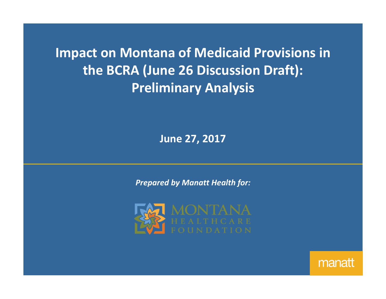**Impact on Montana of Medicaid Provisions in the BCRA (June 26 Discussion Draft): Preliminary Analysis**

**June 27, 2017**

*Prepared by Manatt Health for:* 



manatt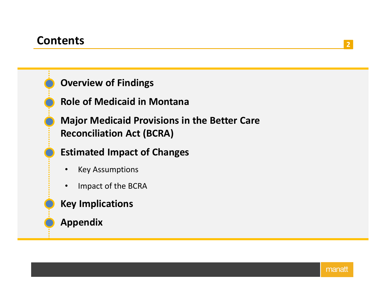## **Contents**

### **<sup>2</sup>**

## **Overview of Findings**

**Role of Medicaid in Montana**

 **Major Medicaid Provisions in the Better Care Reconciliation Act (BCRA)** 

## **Estimated Impact of Changes**

- $\bullet$ Key Assumptions
- $\bullet$ Impact of the BCRA

## **Key Implications**

## **Appendix**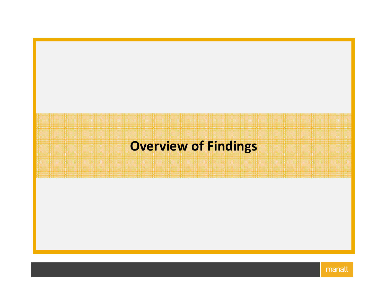# **Overview of Findings**

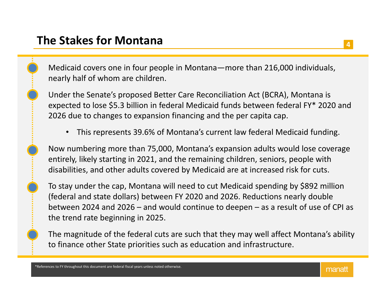Medicaid covers one in four people in Montana—more than 216,000 individuals, nearly half of whom are children.

Under the Senate's proposed Better Care Reconciliation Act (BCRA), Montana is expected to lose \$5.3 billion in federal Medicaid funds between federal FY\* 2020 and 2026 due to changes to expansion financing and the per capita cap.

• This represents 39.6% of Montana's current law federal Medicaid funding.

Now numbering more than 75,000, Montana's expansion adults would lose coverage entirely, likely starting in 2021, and the remaining children, seniors, people with disabilities, and other adults covered by Medicaid are at increased risk for cuts.

To stay under the cap, Montana will need to cut Medicaid spending by \$892 million (federal and state dollars) between FY 2020 and 2026. Reductions nearly double between 2024 and 2026 – and would continue to deepen – as a result of use of CPI as the trend rate beginning in 2025.

The magnitude of the federal cuts are such that they may well affect Montana's ability to finance other State priorities such as education and infrastructure.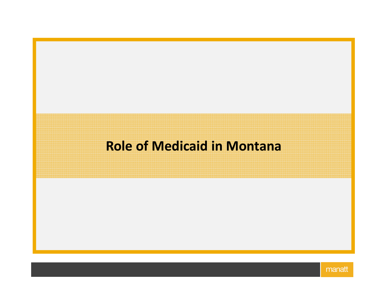# **Role of Medicaid in Montana**

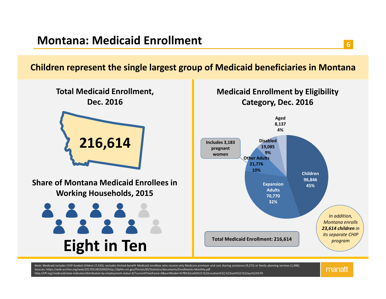**Children represent the single largest group of Medicaid beneficiaries in Montana**



Sources: https://web.archive.org/web/20170314035830/http://dphhs.mt.gov/Portals/85/Statistics/documents/Enrollments-Monthly.pdfhttp://kff.org/medicaid/state-indicator/distribution-by-employment-status-4/?currentTimeframe=0&sortModel=%7B%22colId%22:%22Location%22,%22sort%22:%22asc%22%7D manatt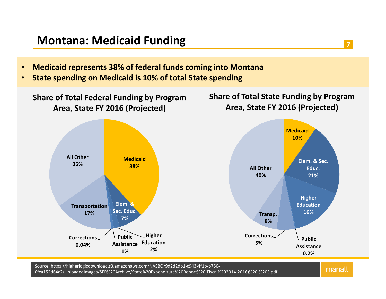## **Montana: Medicaid Funding**

- •**Medicaid represents 38% of federal funds coming into Montana**
- •**State spending on Medicaid is 10% of total State spending**

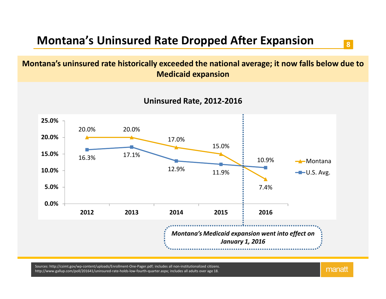# **Montana's Uninsured Rate Dropped After Expansion**

**Montana's uninsured rate historically exceeded the national average; it now falls below due to Medicaid expansion**



Sources: http://csimt.gov/wp-content/uploads/Enrollment-One-Pager.pdf; includes all non-institutionalized citizens.http://www.gallup.com/poll/201641/uninsured-rate-holds-low-fourth-quarter.aspx; includes all adults over age 18.

manatt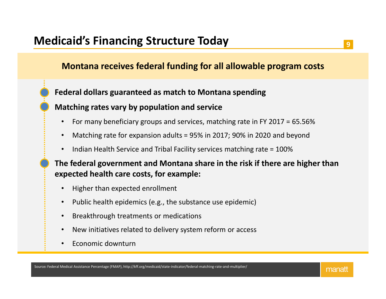## **Montana receives federal funding for all allowable program costs**

### **Federal dollars guaranteed as match to Montana spending**

#### **Matching rates vary by population and service**

- •For many beneficiary groups and services, matching rate in FY 2017 = 65.56%
- •Matching rate for expansion adults = 95% in 2017; 90% in 2020 and beyond
- •Indian Health Service and Tribal Facility services matching rate = 100%

 **The federal government and Montana share in the risk if there are higher than expected health care costs, for example:**

- •Higher than expected enrollment
- •Public health epidemics (e.g., the substance use epidemic)
- •Breakthrough treatments or medications
- •New initiatives related to delivery system reform or access
- •Economic downturn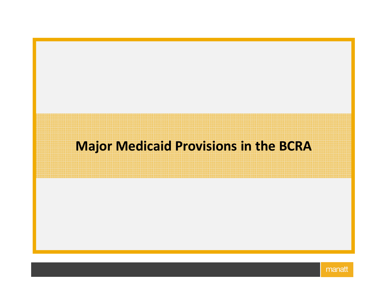# **Major Medicaid Provisions in the BCRA**

the contract of the contract of the contract of the contract of the contract of the contract of the contract of

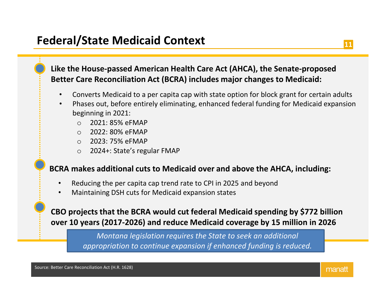## **Like the House-passed American Health Care Act (AHCA), the Senate-proposed Better Care Reconciliation Act (BCRA) includes major changes to Medicaid:**

- $\bullet$ Converts Medicaid to a per capita cap with state option for block grant for certain adults
- Phases out, before entirely eliminating, enhanced federal funding for Medicaid expansion •beginning in 2021:
	- o 2021: 85% eFMAP
	- o 2022: 80% eFMAP
	- o 2023: 75% eFMAP
	- o 2024+: State's regular FMAP

### **BCRA makes additional cuts to Medicaid over and above the AHCA, including:**

- •Reducing the per capita cap trend rate to CPI in 2025 and beyond
- $\bullet$ Maintaining DSH cuts for Medicaid expansion states

### **CBO projects that the BCRA would cut federal Medicaid spending by \$772 billion over 10 years (2017-2026) and reduce Medicaid coverage by 15 million in 2026**

*Montana legislation requires the State to seek an additional appropriation to continue expansion if enhanced funding is reduced.*

**11 11 11**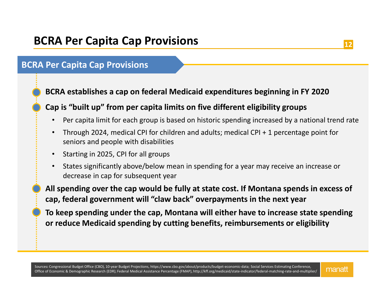## **BCRA Per Capita Cap Provisions**

### **BCRA establishes a cap on federal Medicaid expenditures beginning in FY 2020**

### **Cap is "built up" from per capita limits on five different eligibility groups**

- •Per capita limit for each group is based on historic spending increased by a national trend rate
- • Through 2024, medical CPI for children and adults; medical CPI + 1 percentage point for seniors and people with disabilities
- •Starting in 2025, CPI for all groups
- • States significantly above/below mean in spending for a year may receive an increase or decrease in cap for subsequent year

 **All spending over the cap would be fully at state cost. If Montana spends in excess of cap, federal government will "claw back" overpayments in the next year**

 **To keep spending under the cap, Montana will either have to increase state spending or reduce Medicaid spending by cutting benefits, reimbursements or eligibility**

Sources**:** Congressional Budget Office (CBO), 10-year Budget Projections, https://www.cbo.gov/about/products/budget-economic-data; Social Services Estimating Conference, Office of Economic & Demographic Research (EDR); Federal Medical Assistance Percentage (FMAP), http://kff.org/medicaid/state-indicator/federal-matching-rate-and-multiplier/

manatt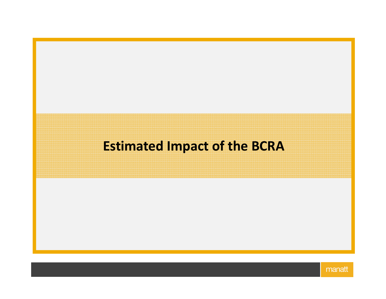# **Estimated Impact of the BCRA**

133. September 133. September 133. September 133. September 133. September 133. September 133. September 133. S<br>133. September 133. September 133. September 133. September 133. September 133. September 133. September 133.

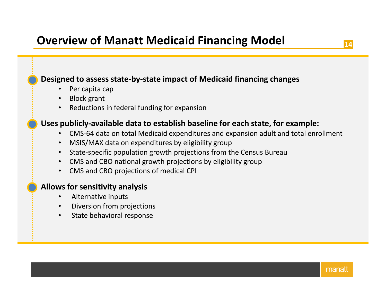### **Designed to assess state-by-state impact of Medicaid financing changes**

- $\bullet$ Per capita cap
- $\bullet$ Block grant
- Reductions in federal funding for expansion

### **Uses publicly-available data to establish baseline for each state, for example:**

- CMS-64 data on total Medicaid expenditures and expansion adult and total enrollment
- •MSIS/MAX data on expenditures by eligibility group
- State-specific population growth projections from the Census Bureau
- CMS and CBO national growth projections by eligibility group
- CMS and CBO projections of medical CPI

### **Allows for sensitivity analysis**

- $\bullet$ Alternative inputs
- Diversion from projections•
- State behavioral response •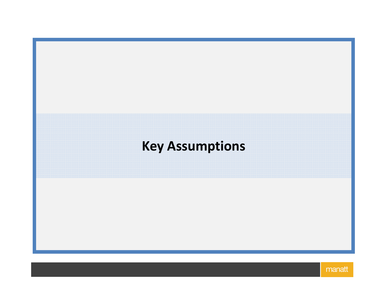# **Key Assumptions**

155. September 155. September 155. September 155. September 155. September 155. September 155. September 155. S

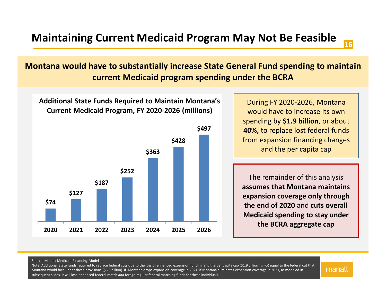## **Maintaining Current Medicaid Program May Not Be Feasible**

**Montana would have to substantially increase State General Fund spending to maintain current Medicaid program spending under the BCRA**



During FY 2020-2026, Montana would have to increase its own spending by **\$1.9 billion**, or about **40%,** to replace lost federal funds from expansion financing changes and the per capita cap

The remainder of this analysis **assumes that Montana maintains expansion coverage only through the end of 2020** and **cuts overall Medicaid spending to stay under the BCRA aggregate cap**

Source: Manatt Medicaid Financing Model

 Note: Additional State funds required to replace federal cuts due to the loss of enhanced expansion funding and the per capita cap (\$1.9 billion) is *not* equal to the federal cut that Montana would face under these provisions (\$5.3 billion) if Montana drops expansion coverage in 2021. If Montana eliminates expansion coverage in 2021, as modeled in subsequent slides, it will lose enhanced federal match *and* forego regular federal matching funds for these individuals.

manatt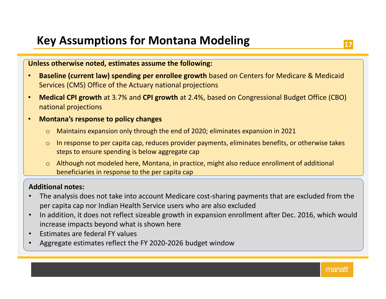#### **Key Assumptions for Montana Modeling<sup>17</sup>**

#### **Unless otherwise noted, estimates assume the following:**

- • **Baseline (current law) spending per enrollee growth** based on Centers for Medicare & Medicaid Services (CMS) Office of the Actuary national projections
- • **Medical CPI growth** at 3.7% and **CPI growth** at 2.4%, based on Congressional Budget Office (CBO) national projections

#### •**Montana's response to policy changes**

- $\circ$  Maintains expansion only through the end of 2020; eliminates expansion in 2021
- $\circ$  In response to per capita cap, reduces provider payments, eliminates benefits, or otherwise takes steps to ensure spending is below aggregate cap
- o Although not modeled here, Montana, in practice, might also reduce enrollment of additional beneficiaries in response to the per capita cap

#### **Additional notes:**

- • The analysis does not take into account Medicare cost-sharing payments that are excluded from the per capita cap nor Indian Health Service users who are also excluded
- In addition, it does not reflect sizeable growth in expansion enrollment after Dec. 2016, which would •increase impacts beyond what is shown here
- •Estimates are federal FY values
- Aggregate estimates reflect the FY 2020-2026 budget window•

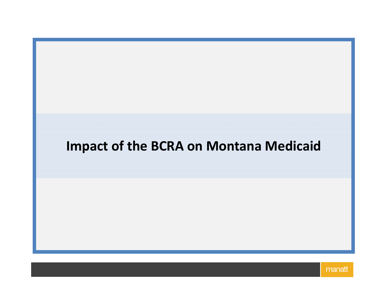# **Impact of the BCRA on Montana Medicaid**

1880年,1880年,1880年,1880年,1880年,1880年,1880年,1880年,1880年,1880年,1880年,1880年,1880年,1880年<br>1880年

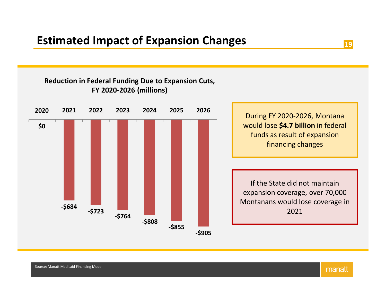# **Estimated Impact of Expansion Changes**



# **Reduction in Federal Funding Due to Expansion Cuts,**

Source: Manatt Medicaid Financing Model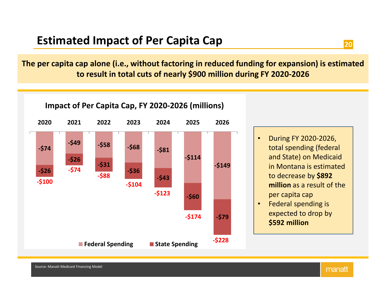**The per capita cap alone (i.e., without factoring in reduced funding for expansion) is estimated to result in total cuts of nearly \$900 million during FY 2020-2026**



- During FY 2020-2026, total spending (federal and State) on Medicaid in Montana is estimated to decrease by **\$892 million** as a result of the per capita cap
- Federal spending is expected to drop by **\$592 million**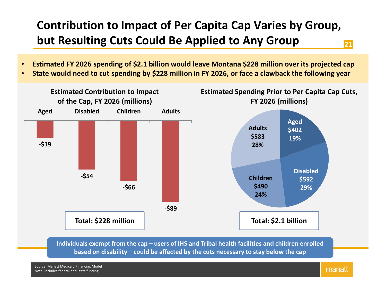## **21Contribution to Impact of Per Capita Cap Varies by Group, but Resulting Cuts Could Be Applied to Any Group**

- •**Estimated FY 2026 spending of \$2.1 billion would leave Montana \$228 million over its projected cap**
- **State would need to cut spending by \$228 million in FY 2026, or face a clawback the following year** •



**Individuals exempt from the cap – users of IHS and Tribal health facilities and children enrolled based on disability – could be affected by the cuts necessary to stay below the cap**

Source: Manatt Medicaid Financing ModelNote: Includes federal and State funding.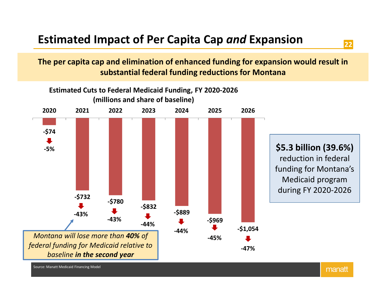# **Estimated Impact of Per Capita Cap** *and* **Expansion**

**The per capita cap and elimination of enhanced funding for expansion would result in substantial federal funding reductions for Montana**



Source: Manatt Medicaid Financing Model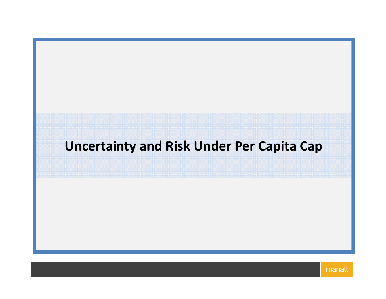# **Uncertainty and Risk Under Per Capita Cap**

**233. (1997) (1997) (1997) (1997) (1997) (1997) (1997) (1997) (1997) (1997) (1997) (1997) (1997) (199** 

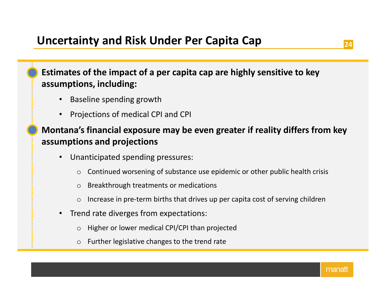## **<sup>24</sup>**

## **Estimates of the impact of a per capita cap are highly sensitive to key assumptions, including:**

- $\bullet$ Baseline spending growth
- $\bullet$ Projections of medical CPI and CPI

**Montana's financial exposure may be even greater if reality differs from key assumptions and projections**

- $\bullet$  Unanticipated spending pressures:
	- $\circ$  Continued worsening of substance use epidemic or other public health crisis
	- oBreakthrough treatments or medications
	- oIncrease in pre-term births that drives up per capita cost of serving children
- • Trend rate diverges from expectations:
	- oHigher or lower medical CPI/CPI than projected
	- $\circ$  Further legislative changes to the trend rate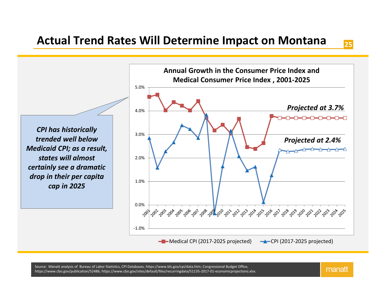## **Actual Trend Rates Will Determine Impact on Montana**



Source: Manatt analysis of Bureau of Labor Statistics, CPI Databases, https://www.bls.gov/cpi/data.htm; Congressional Budget Office, https://www.cbo.gov/publication/52486; https://www.cbo.gov/sites/default/files/recurringdata/51135-2017-01-economicprojections.xlsx.

manatt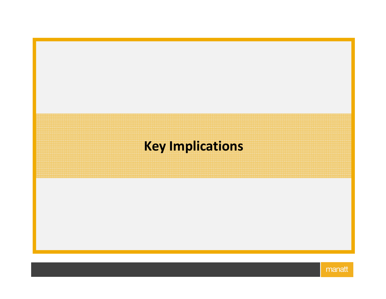# **Key Implications**

**26. Contract of the Contract of the Contract of the Contract of the Contract of the Contract of the Contract** 

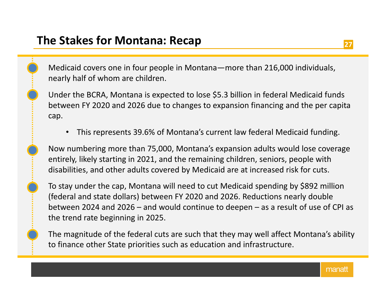Medicaid covers one in four people in Montana—more than 216,000 individuals, nearly half of whom are children.

Under the BCRA, Montana is expected to lose \$5.3 billion in federal Medicaid funds between FY 2020 and 2026 due to changes to expansion financing and the per capita cap.

• This represents 39.6% of Montana's current law federal Medicaid funding.

Now numbering more than 75,000, Montana's expansion adults would lose coverage entirely, likely starting in 2021, and the remaining children, seniors, people with disabilities, and other adults covered by Medicaid are at increased risk for cuts.

To stay under the cap, Montana will need to cut Medicaid spending by \$892 million (federal and state dollars) between FY 2020 and 2026. Reductions nearly double between 2024 and 2026 – and would continue to deepen – as a result of use of CPI as the trend rate beginning in 2025.

The magnitude of the federal cuts are such that they may well affect Montana's ability to finance other State priorities such as education and infrastructure.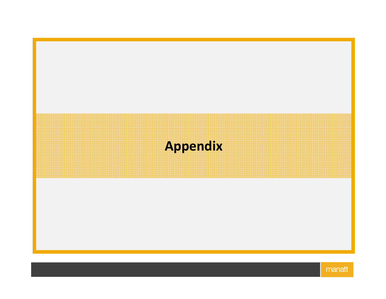# **Appendix**

**28. Contract of the Contract of the Contract of the Contract of the Contract of the Contract of the Contract**